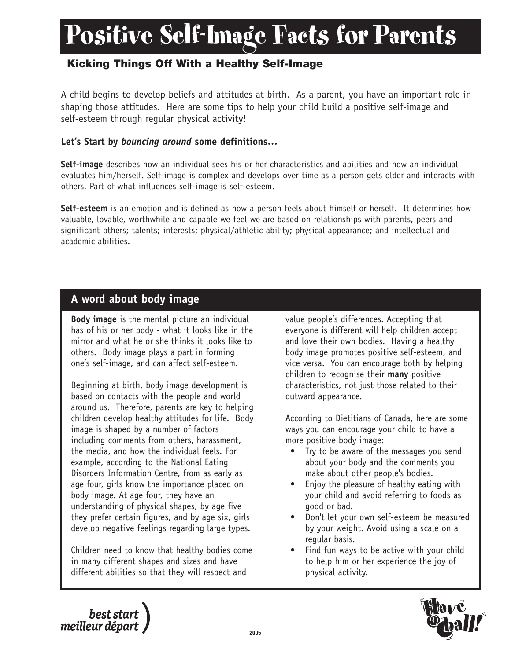# Positive Self-Image Facts for Parents

## **Kicking Things Off With a Healthy Self-Image**

A child begins to develop beliefs and attitudes at birth. As a parent, you have an important role in shaping those attitudes. Here are some tips to help your child build a positive self-image and self-esteem through regular physical activity!

### **Let's Start by** *bouncing around* **some definitions…**

**Self-image** describes how an individual sees his or her characteristics and abilities and how an individual evaluates him/herself. Self-image is complex and develops over time as a person gets older and interacts with others. Part of what influences self-image is self-esteem.

**Self-esteem** is an emotion and is defined as how a person feels about himself or herself. It determines how valuable, lovable, worthwhile and capable we feel we are based on relationships with parents, peers and significant others; talents; interests; physical/athletic ability; physical appearance; and intellectual and academic abilities.

### **A word about body image**

**Body image** is the mental picture an individual has of his or her body - what it looks like in the mirror and what he or she thinks it looks like to others. Body image plays a part in forming one's self-image, and can affect self-esteem.

Beginning at birth, body image development is based on contacts with the people and world around us. Therefore, parents are key to helping children develop healthy attitudes for life. Body image is shaped by a number of factors including comments from others, harassment, the media, and how the individual feels. For example, according to the National Eating Disorders Information Centre, from as early as age four, girls know the importance placed on body image. At age four, they have an understanding of physical shapes, by age five they prefer certain figures, and by age six, girls develop negative feelings regarding large types.

Children need to know that healthy bodies come in many different shapes and sizes and have different abilities so that they will respect and

value people's differences. Accepting that everyone is different will help children accept and love their own bodies. Having a healthy body image promotes positive self-esteem, and vice versa. You can encourage both by helping children to recognise their **many** positive characteristics, not just those related to their outward appearance.

According to Dietitians of Canada, here are some ways you can encourage your child to have a more positive body image:

- Try to be aware of the messages you send about your body and the comments you make about other people's bodies.
- Enjoy the pleasure of healthy eating with your child and avoid referring to foods as good or bad.
- Don't let your own self-esteem be measured by your weight. Avoid using a scale on a regular basis.
- Find fun ways to be active with your child to help him or her experience the joy of physical activity.



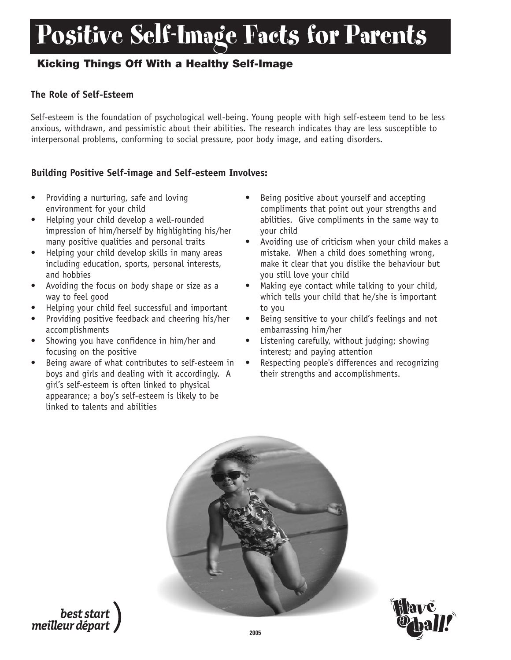## Positive Self-Image Facts for Parents

## **Kicking Things Off With a Healthy Self-Image**

### **The Role of Self-Esteem**

Self-esteem is the foundation of psychological well-being. Young people with high self-esteem tend to be less anxious, withdrawn, and pessimistic about their abilities. The research indicates thay are less susceptible to interpersonal problems, conforming to social pressure, poor body image, and eating disorders.

#### **Building Positive Self-image and Self-esteem Involves:**

- Providing a nurturing, safe and loving environment for your child
- Helping your child develop a well-rounded impression of him/herself by highlighting his/her many positive qualities and personal traits
- Helping your child develop skills in many areas including education, sports, personal interests, and hobbies
- Avoiding the focus on body shape or size as a way to feel good
- Helping your child feel successful and important
- Providing positive feedback and cheering his/her accomplishments
- Showing you have confidence in him/her and focusing on the positive
- Being aware of what contributes to self-esteem in boys and girls and dealing with it accordingly. A girl's self-esteem is often linked to physical appearance; a boy's self-esteem is likely to be linked to talents and abilities
- Being positive about yourself and accepting compliments that point out your strengths and abilities. Give compliments in the same way to your child
- Avoiding use of criticism when your child makes a mistake. When a child does something wrong, make it clear that you dislike the behaviour but you still love your child
- Making eye contact while talking to your child, which tells your child that he/she is important to you
- Being sensitive to your child's feelings and not embarrassing him/her
- Listening carefully, without judging; showing interest; and paying attention
- Respecting people's differences and recognizing their strengths and accomplishments.





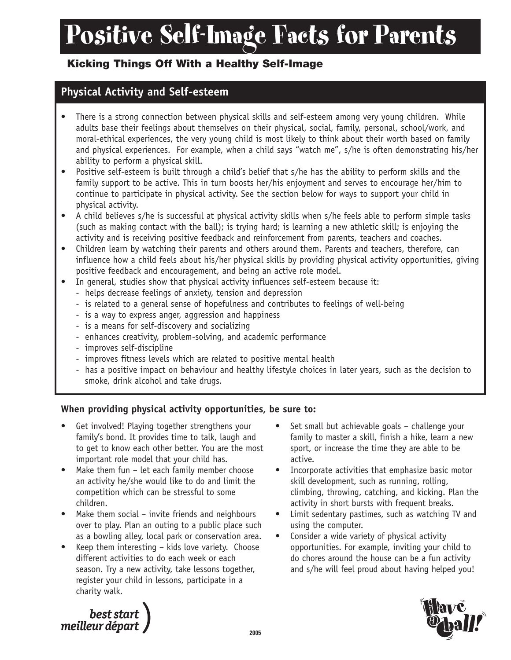# Positive Self-Image Facts for Parents

## **Kicking Things Off With a Healthy Self-Image**

## **Physical Activity and Self-esteem**

- There is a strong connection between physical skills and self-esteem among very young children. While adults base their feelings about themselves on their physical, social, family, personal, school/work, and moral-ethical experiences, the very young child is most likely to think about their worth based on family and physical experiences. For example, when a child says "watch me", s/he is often demonstrating his/her ability to perform a physical skill.
- Positive self-esteem is built through a child's belief that s/he has the ability to perform skills and the family support to be active. This in turn boosts her/his enjoyment and serves to encourage her/him to continue to participate in physical activity. See the section below for ways to support your child in physical activity.
- A child believes s/he is successful at physical activity skills when s/he feels able to perform simple tasks (such as making contact with the ball); is trying hard; is learning a new athletic skill; is enjoying the activity and is receiving positive feedback and reinforcement from parents, teachers and coaches.
- Children learn by watching their parents and others around them. Parents and teachers, therefore, can influence how a child feels about his/her physical skills by providing physical activity opportunities, giving positive feedback and encouragement, and being an active role model.
- In general, studies show that physical activity influences self-esteem because it:
	- helps decrease feelings of anxiety, tension and depression
	- is related to a general sense of hopefulness and contributes to feelings of well-being
	- is a way to express anger, aggression and happiness
	- is a means for self-discovery and socializing
	- enhances creativity, problem-solving, and academic performance
	- improves self-discipline
	- improves fitness levels which are related to positive mental health
	- has a positive impact on behaviour and healthy lifestyle choices in later years, such as the decision to smoke, drink alcohol and take drugs.

### **When providing physical activity opportunities, be sure to:**

- Get involved! Playing together strengthens your family's bond. It provides time to talk, laugh and to get to know each other better. You are the most important role model that your child has.
- Make them fun  $-$  let each family member choose an activity he/she would like to do and limit the competition which can be stressful to some children.
- Make them social invite friends and neighbours over to play. Plan an outing to a public place such as a bowling alley, local park or conservation area.
- Keep them interesting kids love variety. Choose different activities to do each week or each season. Try a new activity, take lessons together, register your child in lessons, participate in a charity walk.
- Set small but achievable goals challenge your family to master a skill, finish a hike, learn a new sport, or increase the time they are able to be active.
- Incorporate activities that emphasize basic motor skill development, such as running, rolling, climbing, throwing, catching, and kicking. Plan the activity in short bursts with frequent breaks.
- Limit sedentary pastimes, such as watching TV and using the computer.
- Consider a wide variety of physical activity opportunities. For example, inviting your child to do chores around the house can be a fun activity and s/he will feel proud about having helped you!



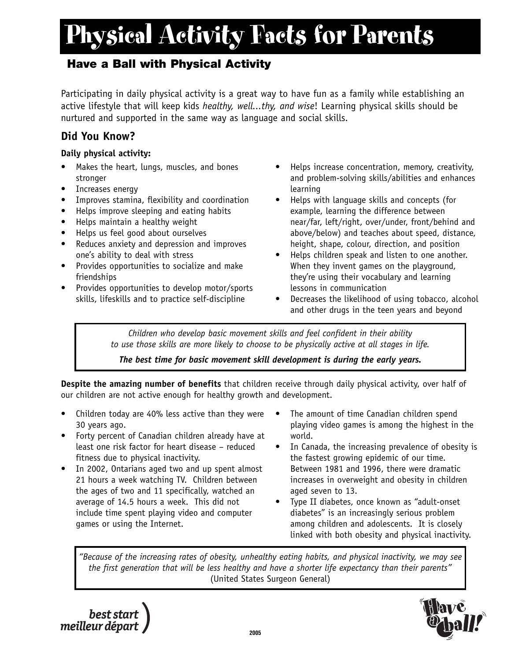## **Have a Ball with Physical Activity**

Participating in daily physical activity is a great way to have fun as a family while establishing an active lifestyle that will keep kids *healthy, well...thy, and wise*! Learning physical skills should be nurtured and supported in the same way as language and social skills.

### **Did You Know?**

### **Daily physical activity:**

- Makes the heart, lungs, muscles, and bones stronger
- Increases energy
- Improves stamina, flexibility and coordination
- Helps improve sleeping and eating habits
- Helps maintain a healthy weight
- Helps us feel good about ourselves
- Reduces anxiety and depression and improves one's ability to deal with stress
- Provides opportunities to socialize and make friendships
- Provides opportunities to develop motor/sports skills, lifeskills and to practice self-discipline
- Helps increase concentration, memory, creativity, and problem-solving skills/abilities and enhances learning
- Helps with language skills and concepts (for example, learning the difference between near/far, left/right, over/under, front/behind and above/below) and teaches about speed, distance, height, shape, colour, direction, and position
- Helps children speak and listen to one another. When they invent games on the playground, they're using their vocabulary and learning lessons in communication
- Decreases the likelihood of using tobacco, alcohol and other drugs in the teen years and beyond

*Children who develop basic movement skills and feel confident in their ability to use those skills are more likely to choose to be physically active at all stages in life.*

*The best time for basic movement skill development is during the early years.*

**Despite the amazing number of benefits** that children receive through daily physical activity, over half of our children are not active enough for healthy growth and development.

- Children today are 40% less active than they were 30 years ago.
- Forty percent of Canadian children already have at least one risk factor for heart disease – reduced fitness due to physical inactivity.
- In 2002, Ontarians aged two and up spent almost 21 hours a week watching TV. Children between the ages of two and 11 specifically, watched an average of 14.5 hours a week. This did not include time spent playing video and computer games or using the Internet.
- The amount of time Canadian children spend playing video games is among the highest in the world.
- In Canada, the increasing prevalence of obesity is the fastest growing epidemic of our time. Between 1981 and 1996, there were dramatic increases in overweight and obesity in children aged seven to 13.
- Type II diabetes, once known as "adult-onset diabetes" is an increasingly serious problem among children and adolescents. It is closely linked with both obesity and physical inactivity.

*"Because of the increasing rates of obesity, unhealthy eating habits, and physical inactivity, we may see the first generation that will be less healthy and have a shorter life expectancy than their parents"* (United States Surgeon General)



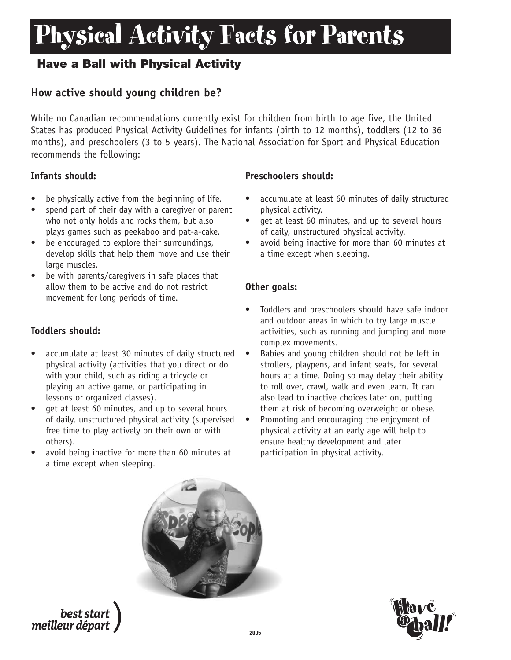## **Have a Ball with Physical Activity**

### **How active should young children be?**

While no Canadian recommendations currently exist for children from birth to age five, the United States has produced Physical Activity Guidelines for infants (birth to 12 months), toddlers (12 to 36 months), and preschoolers (3 to 5 years). The National Association for Sport and Physical Education recommends the following:

### **Infants should:**

- be physically active from the beginning of life.
- spend part of their day with a caregiver or parent who not only holds and rocks them, but also plays games such as peekaboo and pat-a-cake.
- be encouraged to explore their surroundings, develop skills that help them move and use their large muscles.
- be with parents/caregivers in safe places that allow them to be active and do not restrict movement for long periods of time.

### **Toddlers should:**

- accumulate at least 30 minutes of daily structured physical activity (activities that you direct or do with your child, such as riding a tricycle or playing an active game, or participating in lessons or organized classes).
- get at least 60 minutes, and up to several hours of daily, unstructured physical activity (supervised free time to play actively on their own or with others).
- avoid being inactive for more than 60 minutes at a time except when sleeping.

### **Preschoolers should:**

- accumulate at least 60 minutes of daily structured physical activity.
- get at least 60 minutes, and up to several hours of daily, unstructured physical activity.
- avoid being inactive for more than 60 minutes at a time except when sleeping.

### **Other goals:**

- Toddlers and preschoolers should have safe indoor and outdoor areas in which to try large muscle activities, such as running and jumping and more complex movements.
- Babies and young children should not be left in strollers, playpens, and infant seats, for several hours at a time. Doing so may delay their ability to roll over, crawl, walk and even learn. It can also lead to inactive choices later on, putting them at risk of becoming overweight or obese.
- Promoting and encouraging the enjoyment of physical activity at an early age will help to ensure healthy development and later participation in physical activity.



best start meilleur départ

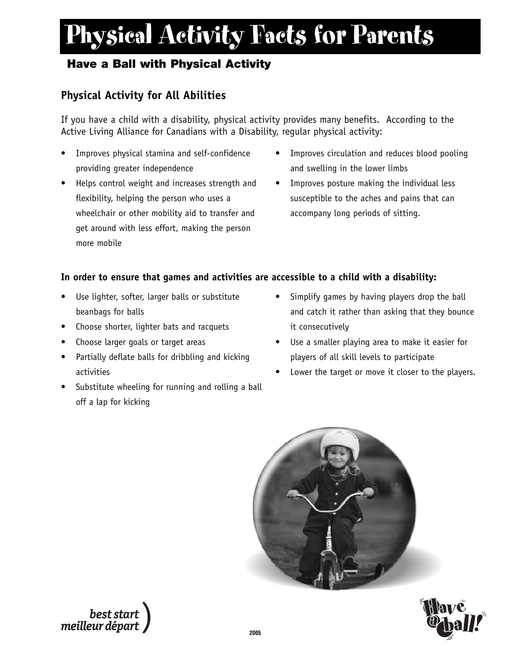## **Have a Ball with Physical Activity**

## **Physical Activity for All Abilities**

If you have a child with a disability, physical activity provides many benefits. According to the Active Living Alliance for Canadians with a Disability, regular physical activity:

- Improves physical stamina and self-confidence providing greater independence
- Helps control weight and increases strength and flexibility, helping the person who uses a wheelchair or other mobility aid to transfer and get around with less effort, making the person more mobile
- Improves circulation and reduces blood pooling and swelling in the lower limbs
- Improves posture making the individual less susceptible to the aches and pains that can accompany long periods of sitting.

### **In order to ensure that games and activities are accessible to a child with a disability:**

- Use lighter, softer, larger balls or substitute beanbags for balls
- Choose shorter, lighter bats and racquets
- Choose larger goals or target areas
- Partially deflate balls for dribbling and kicking activities
- Substitute wheeling for running and rolling a ball off a lap for kicking
- Simplify games by having players drop the ball and catch it rather than asking that they bounce it consecutively
- Use a smaller playing area to make it easier for players of all skill levels to participate
- Lower the target or move it closer to the players.



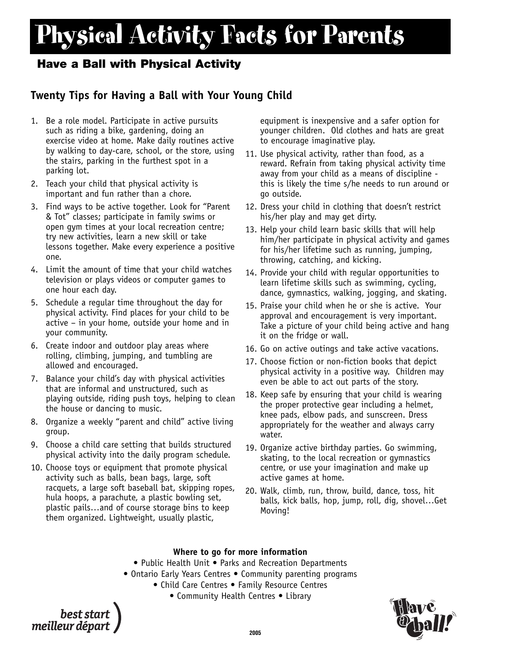### **Have a Ball with Physical Activity**

## **Twenty Tips for Having a Ball with Your Young Child**

- 1. Be a role model. Participate in active pursuits such as riding a bike, gardening, doing an exercise video at home. Make daily routines active by walking to day-care, school, or the store, using the stairs, parking in the furthest spot in a parking lot.
- 2. Teach your child that physical activity is important and fun rather than a chore.
- 3. Find ways to be active together. Look for "Parent & Tot" classes; participate in family swims or open gym times at your local recreation centre; try new activities, learn a new skill or take lessons together. Make every experience a positive one.
- 4. Limit the amount of time that your child watches television or plays videos or computer games to one hour each day.
- 5. Schedule a regular time throughout the day for physical activity. Find places for your child to be active – in your home, outside your home and in your community.
- 6. Create indoor and outdoor play areas where rolling, climbing, jumping, and tumbling are allowed and encouraged.
- 7. Balance your child's day with physical activities that are informal and unstructured, such as playing outside, riding push toys, helping to clean the house or dancing to music.
- 8. Organize a weekly "parent and child" active living group.
- 9. Choose a child care setting that builds structured physical activity into the daily program schedule.
- 10. Choose toys or equipment that promote physical activity such as balls, bean bags, large, soft racquets, a large soft baseball bat, skipping ropes, hula hoops, a parachute, a plastic bowling set, plastic pails…and of course storage bins to keep them organized. Lightweight, usually plastic,

equipment is inexpensive and a safer option for younger children. Old clothes and hats are great to encourage imaginative play.

- 11. Use physical activity, rather than food, as a reward. Refrain from taking physical activity time away from your child as a means of discipline this is likely the time s/he needs to run around or go outside.
- 12. Dress your child in clothing that doesn't restrict his/her play and may get dirty.
- 13. Help your child learn basic skills that will help him/her participate in physical activity and games for his/her lifetime such as running, jumping, throwing, catching, and kicking.
- 14. Provide your child with regular opportunities to learn lifetime skills such as swimming, cycling, dance, gymnastics, walking, jogging, and skating.
- 15. Praise your child when he or she is active. Your approval and encouragement is very important. Take a picture of your child being active and hang it on the fridge or wall.
- 16. Go on active outings and take active vacations.
- 17. Choose fiction or non-fiction books that depict physical activity in a positive way. Children may even be able to act out parts of the story.
- 18. Keep safe by ensuring that your child is wearing the proper protective gear including a helmet, knee pads, elbow pads, and sunscreen. Dress appropriately for the weather and always carry water.
- 19. Organize active birthday parties. Go swimming, skating, to the local recreation or gymnastics centre, or use your imagination and make up active games at home.
- 20. Walk, climb, run, throw, build, dance, toss, hit balls, kick balls, hop, jump, roll, dig, shovel…Get Moving!

#### **Where to go for more information**

- Public Health Unit Parks and Recreation Departments
- Ontario Early Years Centres Community parenting programs
	- Child Care Centres Family Resource Centres
		- Community Health Centres Library

best start meilleur départ

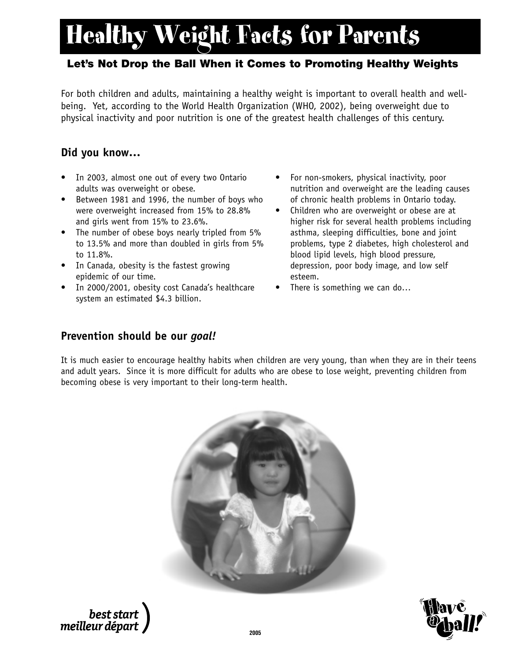## Healthy Weight Facts for Parents

### **Let's Not Drop the Ball When it Comes to Promoting Healthy Weights**

For both children and adults, maintaining a healthy weight is important to overall health and wellbeing. Yet, according to the World Health Organization (WHO, 2002), being overweight due to physical inactivity and poor nutrition is one of the greatest health challenges of this century.

### **Did you know…**

- In 2003, almost one out of every two Ontario adults was overweight or obese.
- Between 1981 and 1996, the number of boys who were overweight increased from 15% to 28.8% and girls went from 15% to 23.6%.
- The number of obese boys nearly tripled from 5% to 13.5% and more than doubled in girls from 5% to 11.8%.
- In Canada, obesity is the fastest growing epidemic of our time.
- In 2000/2001, obesity cost Canada's healthcare system an estimated \$4.3 billion.
- For non-smokers, physical inactivity, poor nutrition and overweight are the leading causes of chronic health problems in Ontario today.
- Children who are overweight or obese are at higher risk for several health problems including asthma, sleeping difficulties, bone and joint problems, type 2 diabetes, high cholesterol and blood lipid levels, high blood pressure, depression, poor body image, and low self esteem.
- There is something we can do...

### **Prevention should be our** *goal!*

It is much easier to encourage healthy habits when children are very young, than when they are in their teens and adult years. Since it is more difficult for adults who are obese to lose weight, preventing children from becoming obese is very important to their long-term health.





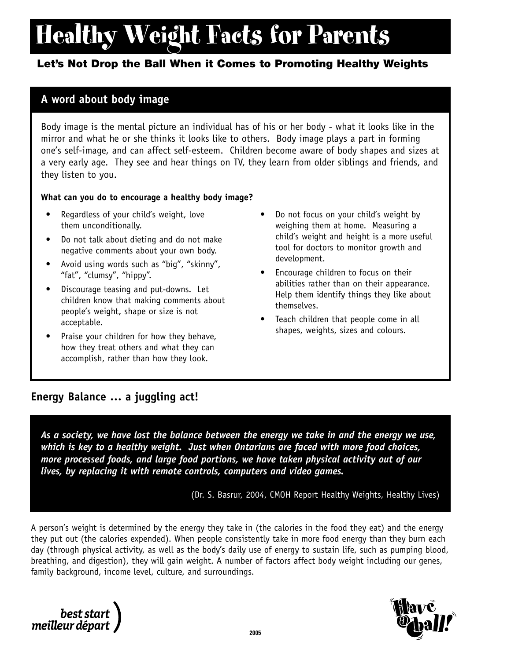# Healthy Weight Facts for Parents

### **Let's Not Drop the Ball When it Comes to Promoting Healthy Weights**

### **A word about body image**

Body image is the mental picture an individual has of his or her body - what it looks like in the mirror and what he or she thinks it looks like to others. Body image plays a part in forming one's self-image, and can affect self-esteem. Children become aware of body shapes and sizes at a very early age. They see and hear things on TV, they learn from older siblings and friends, and they listen to you.

#### **What can you do to encourage a healthy body image?**

- Regardless of your child's weight, love them unconditionally.
- Do not talk about dieting and do not make negative comments about your own body.
- Avoid using words such as "big", "skinny", "fat", "clumsy", "hippy".
- Discourage teasing and put-downs. Let children know that making comments about people's weight, shape or size is not acceptable.
- Praise your children for how they behave, how they treat others and what they can accomplish, rather than how they look.
- Do not focus on your child's weight by weighing them at home. Measuring a child's weight and height is a more useful tool for doctors to monitor growth and development.
- Encourage children to focus on their abilities rather than on their appearance. Help them identify things they like about themselves.
- Teach children that people come in all shapes, weights, sizes and colours.

### **Energy Balance … a juggling act!**

*As a society, we have lost the balance between the energy we take in and the energy we use, which is key to a healthy weight. Just when Ontarians are faced with more food choices, more processed foods, and large food portions, we have taken physical activity out of our lives, by replacing it with remote controls, computers and video games.*

(Dr. S. Basrur, 2004, CMOH Report Healthy Weights, Healthy Lives)

A person's weight is determined by the energy they take in (the calories in the food they eat) and the energy they put out (the calories expended). When people consistently take in more food energy than they burn each day (through physical activity, as well as the body's daily use of energy to sustain life, such as pumping blood, breathing, and digestion), they will gain weight. A number of factors affect body weight including our genes, family background, income level, culture, and surroundings.

best start<br>meilleur départ